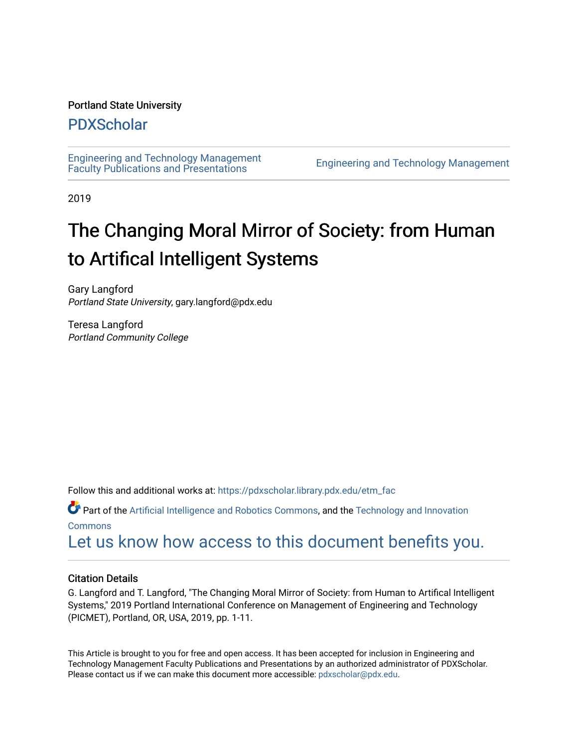#### Portland State University

### [PDXScholar](https://pdxscholar.library.pdx.edu/)

[Engineering and Technology Management](https://pdxscholar.library.pdx.edu/etm_fac)  [Faculty Publications and Presentations](https://pdxscholar.library.pdx.edu/etm_fac) [Engineering and Technology Management](https://pdxscholar.library.pdx.edu/etm) 

2019

# The Changing Moral Mirror of Society: from Human to Artifical Intelligent Systems

Gary Langford Portland State University, gary.langford@pdx.edu

Teresa Langford Portland Community College

Follow this and additional works at: [https://pdxscholar.library.pdx.edu/etm\\_fac](https://pdxscholar.library.pdx.edu/etm_fac?utm_source=pdxscholar.library.pdx.edu%2Fetm_fac%2F230&utm_medium=PDF&utm_campaign=PDFCoverPages)

Part of the [Artificial Intelligence and Robotics Commons](http://network.bepress.com/hgg/discipline/143?utm_source=pdxscholar.library.pdx.edu%2Fetm_fac%2F230&utm_medium=PDF&utm_campaign=PDFCoverPages), and the [Technology and Innovation](http://network.bepress.com/hgg/discipline/644?utm_source=pdxscholar.library.pdx.edu%2Fetm_fac%2F230&utm_medium=PDF&utm_campaign=PDFCoverPages) [Commons](http://network.bepress.com/hgg/discipline/644?utm_source=pdxscholar.library.pdx.edu%2Fetm_fac%2F230&utm_medium=PDF&utm_campaign=PDFCoverPages)

[Let us know how access to this document benefits you.](http://library.pdx.edu/services/pdxscholar-services/pdxscholar-feedback/?ref=https://pdxscholar.library.pdx.edu/etm_fac/230) 

#### Citation Details

G. Langford and T. Langford, "The Changing Moral Mirror of Society: from Human to Artifical Intelligent Systems," 2019 Portland International Conference on Management of Engineering and Technology (PICMET), Portland, OR, USA, 2019, pp. 1-11.

This Article is brought to you for free and open access. It has been accepted for inclusion in Engineering and Technology Management Faculty Publications and Presentations by an authorized administrator of PDXScholar. Please contact us if we can make this document more accessible: [pdxscholar@pdx.edu](mailto:pdxscholar@pdx.edu).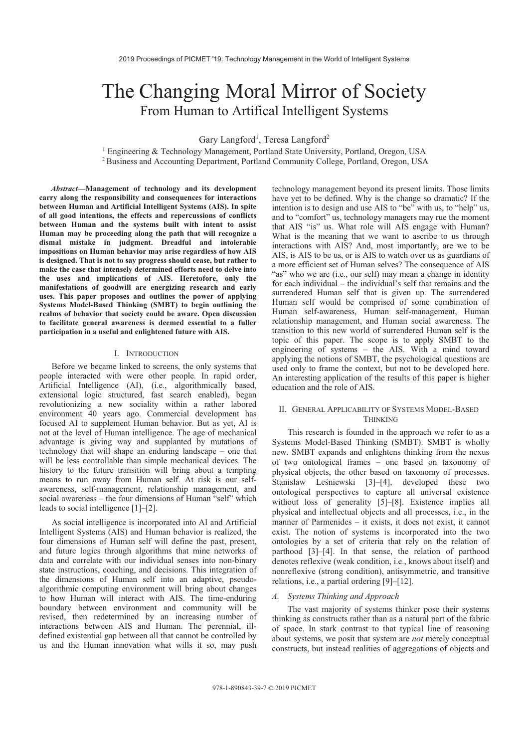## The Changing Moral Mirror of Society From Human to Artifical Intelligent Systems

Gary Langford<sup>1</sup>, Teresa Langford<sup>2</sup>

<sup>1</sup> Engineering & Technology Management, Portland State University, Portland, Oregon, USA <sup>2</sup> Business and Accounting Department, Portland Community College, Portland, Oregon, USA

Abstract-Management of technology and its development carry along the responsibility and consequences for interactions between Human and Artificial Intelligent Systems (AIS). In spite of all good intentions, the effects and repercussions of conflicts between Human and the systems built with intent to assist Human may be proceeding along the path that will recognize a dismal mistake in judgment. Dreadful and intolerable impositions on Human behavior may arise regardless of how AIS is designed. That is not to say progress should cease, but rather to make the case that intensely determined efforts need to delve into the uses and implications of AIS. Heretofore, only the manifestations of goodwill are energizing research and early uses. This paper proposes and outlines the power of applying Systems Model-Based Thinking (SMBT) to begin outlining the realms of behavior that society could be aware. Open discussion to facilitate general awareness is deemed essential to a fuller participation in a useful and enlightened future with AIS.

#### I. INTRODUCTION

Before we became linked to screens, the only systems that people interacted with were other people. In rapid order, Artificial Intelligence (AI), (i.e., algorithmically based, extensional logic structured, fast search enabled), began revolutionizing a new sociality within a rather labored environment 40 years ago. Commercial development has focused AI to supplement Human behavior. But as yet, AI is not at the level of Human intelligence. The age of mechanical advantage is giving way and supplanted by mutations of technology that will shape an enduring landscape - one that will be less controllable than simple mechanical devices. The history to the future transition will bring about a tempting means to run away from Human self. At risk is our selfawareness, self-management, relationship management, and social awareness – the four dimensions of Human "self" which leads to social intelligence  $[1]-[2]$ .

As social intelligence is incorporated into AI and Artificial Intelligent Systems (AIS) and Human behavior is realized, the four dimensions of Human self will define the past, present, and future logics through algorithms that mine networks of data and correlate with our individual senses into non-binary state instructions, coaching, and decisions. This integration of the dimensions of Human self into an adaptive, pseudoalgorithmic computing environment will bring about changes to how Human will interact with AIS. The time-enduring boundary between environment and community will be revised, then redetermined by an increasing number of interactions between AIS and Human. The perennial, illdefined existential gap between all that cannot be controlled by us and the Human innovation what wills it so, may push

technology management beyond its present limits. Those limits have yet to be defined. Why is the change so dramatic? If the intention is to design and use AIS to "be" with us, to "help" us, and to "comfort" us, technology managers may rue the moment that AIS "is" us. What role will AIS engage with Human? What is the meaning that we want to ascribe to us through interactions with AIS? And, most importantly, are we to be AIS, is AIS to be us, or is AIS to watch over us as guardians of a more efficient set of Human selves? The consequence of AIS "as" who we are (i.e., our self) may mean a change in identity for each individual - the individual's self that remains and the surrendered Human self that is given up. The surrendered Human self would be comprised of some combination of Human self-awareness, Human self-management, Human relationship management, and Human social awareness. The transition to this new world of surrendered Human self is the topic of this paper. The scope is to apply SMBT to the engineering of systems - the AIS. With a mind toward applying the notions of SMBT, the psychological questions are used only to frame the context, but not to be developed here. An interesting application of the results of this paper is higher education and the role of AIS.

#### II. GENERAL APPLICABILITY OF SYSTEMS MODEL-BASED **THINKING**

This research is founded in the approach we refer to as a Systems Model-Based Thinking (SMBT). SMBT is wholly new. SMBT expands and enlightens thinking from the nexus of two ontological frames - one based on taxonomy of physical objects, the other based on taxonomy of processes. Stanislaw Leśniewski [3]-[4], developed these two ontological perspectives to capture all universal existence without loss of generality [5]-[8]. Existence implies all physical and intellectual objects and all processes, i.e., in the manner of Parmenides  $-$  it exists, it does not exist, it cannot exist. The notion of systems is incorporated into the two ontologies by a set of criteria that rely on the relation of parthood [3]–[4]. In that sense, the relation of parthood denotes reflexive (weak condition, i.e., knows about itself) and nonreflexive (strong condition), antisymmetric, and transitive relations, i.e., a partial ordering [9]-[12].

#### A. Systems Thinking and Approach

The vast majority of systems thinker pose their systems thinking as constructs rather than as a natural part of the fabric of space. In stark contrast to that typical line of reasoning about systems, we posit that system are *not* merely conceptual constructs, but instead realities of aggregations of objects and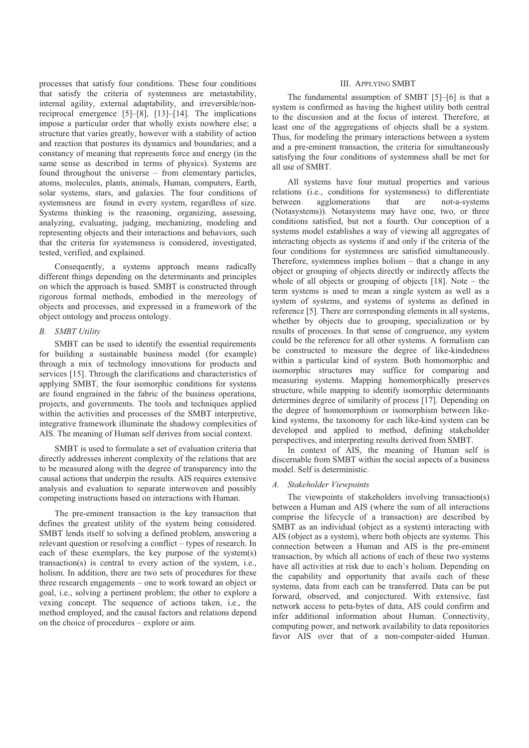processes that satisfy four conditions. These four conditions that satisfy the criteria of systemness are metastability, internal agility, external adaptability, and irreversible/nonreciprocal emergence  $[5]-[8]$ ,  $[13]-[14]$ . The implications impose a particular order that wholly exists nowhere else; a structure that varies greatly, however with a stability of action and reaction that postures its dynamics and boundaries; and a constancy of meaning that represents force and energy (in the same sense as described in terms of physics). Systems are found throughout the universe – from elementary particles, atoms, molecules, plants, animals, Human, computers, Earth, solar systems, stars, and galaxies. The four conditions of systemsness are found in every system, regardless of size. Systems thinking is the reasoning, organizing, assessing, analyzing, evaluating, judging, mechanizing, modeling and representing objects and their interactions and behaviors, such that the criteria for systemsness is considered, investigated, tested, verified, and explained.

Consequently, a systems approach means radically different things depending on the determinants and principles on which the approach is based. SMBT is constructed through rigorous formal methods, embodied in the mereology of objects and processes, and expressed in a framework of the object ontology and process ontology.

#### **B.** SMBT Utility

SMBT can be used to identify the essential requirements for building a sustainable business model (for example) through a mix of technology innovations for products and services [15]. Through the clarifications and characteristics of applying SMBT, the four isomorphic conditions for systems are found engrained in the fabric of the business operations, projects, and governments. The tools and techniques applied within the activities and processes of the SMBT interpretive, integrative framework illuminate the shadowy complexities of AIS. The meaning of Human self derives from social context.

SMBT is used to formulate a set of evaluation criteria that directly addresses inherent complexity of the relations that are to be measured along with the degree of transparency into the causal actions that underpin the results. AIS requires extensive analysis and evaluation to separate interwoven and possibly competing instructions based on interactions with Human.

The pre-eminent transaction is the key transaction that defines the greatest utility of the system being considered. SMBT lends itself to solving a defined problem, answering a relevant question or resolving a conflict – types of research. In each of these exemplars, the key purpose of the system(s) transaction(s) is central to every action of the system, i.e., holism. In addition, there are two sets of procedures for these three research engagements – one to work toward an object or goal, *i.e.*, solving a pertinent problem; the other to explore a vexing concept. The sequence of actions taken, i.e., the method employed, and the causal factors and relations depend on the choice of procedures - explore or aim.

#### **III. APPLYING SMBT**

The fundamental assumption of SMBT [5]-[6] is that a system is confirmed as having the highest utility both central to the discussion and at the focus of interest. Therefore, at least one of the aggregations of objects shall be a system. Thus, for modeling the primary interactions between a system and a pre-eminent transaction, the criteria for simultaneously satisfying the four conditions of systemness shall be met for all use of SMBT.

All systems have four mutual properties and various relations (i.e., conditions for systemsness) to differentiate between agglomerations that are not-a-systems (Notasystems)). Notasystems may have one, two, or three conditions satisfied, but not a fourth. Our conception of a systems model establishes a way of viewing all aggregates of interacting objects as systems if and only if the criteria of the four conditions for systemness are satisfied simultaneously. Therefore, systemness implies holism  $-$  that a change in any object or grouping of objects directly or indirectly affects the whole of all objects or grouping of objects [18]. Note  $-$  the term systems is used to mean a single system as well as a system of systems, and systems of systems as defined in reference [5]. There are corresponding elements in all systems, whether by objects due to grouping, specialization or by results of processes. In that sense of congruence, any system could be the reference for all other systems. A formalism can be constructed to measure the degree of like-kindedness within a particular kind of system. Both homomorphic and isomorphic structures may suffice for comparing and measuring systems. Mapping homomorphically preserves structure, while mapping to identify isomorphic determinants determines degree of similarity of process [17]. Depending on the degree of homomorphism or isomorphism between likekind systems, the taxonomy for each like-kind system can be developed and applied to method, defining stakeholder perspectives, and interpreting results derived from SMBT.

In context of AIS, the meaning of Human self is discernable from SMBT within the social aspects of a business model. Self is deterministic.

#### A. Stakeholder Viewpoints

The viewpoints of stakeholders involving transaction(s) between a Human and AIS (where the sum of all interactions comprise the lifecycle of a transaction) are described by SMBT as an individual (object as a system) interacting with AIS (object as a system), where both objects are systems. This connection between a Human and AIS is the pre-eminent transaction, by which all actions of each of these two systems have all activities at risk due to each's holism. Depending on the capability and opportunity that avails each of these systems, data from each can be transferred. Data can be put forward, observed, and conjectured. With extensive, fast network access to peta-bytes of data, AIS could confirm and infer additional information about Human. Connectivity, computing power, and network availability to data repositories favor AIS over that of a non-computer-aided Human.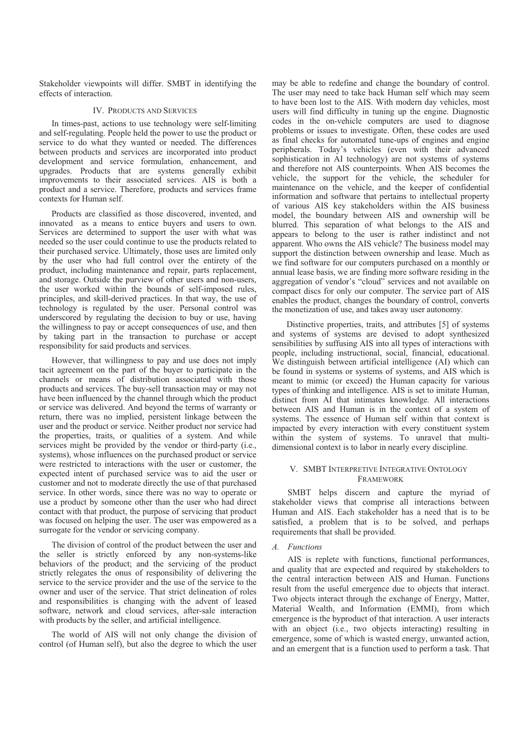Stakeholder viewpoints will differ. SMBT in identifying the effects of interaction.

#### **IV. PRODUCTS AND SERVICES**

In times-past, actions to use technology were self-limiting and self-regulating. People held the power to use the product or service to do what they wanted or needed. The differences between products and services are incorporated into product development and service formulation, enhancement, and upgrades. Products that are systems generally exhibit improvements to their associated services. AIS is both a product and a service. Therefore, products and services frame contexts for Human self.

Products are classified as those discovered, invented, and innovated as a means to entice buyers and users to own. Services are determined to support the user with what was needed so the user could continue to use the products related to their purchased service. Ultimately, those uses are limited only by the user who had full control over the entirety of the product, including maintenance and repair, parts replacement, and storage. Outside the purview of other users and non-users, the user worked within the bounds of self-imposed rules. principles, and skill-derived practices. In that way, the use of technology is regulated by the user. Personal control was underscored by regulating the decision to buy or use, having the willingness to pay or accept consequences of use, and then by taking part in the transaction to purchase or accept responsibility for said products and services.

However, that willingness to pay and use does not imply tacit agreement on the part of the buyer to participate in the channels or means of distribution associated with those products and services. The buy-sell transaction may or may not have been influenced by the channel through which the product or service was delivered. And beyond the terms of warranty or return, there was no implied, persistent linkage between the user and the product or service. Neither product nor service had the properties, traits, or qualities of a system. And while services might be provided by the vendor or third-party (i.e., systems), whose influences on the purchased product or service were restricted to interactions with the user or customer, the expected intent of purchased service was to aid the user or customer and not to moderate directly the use of that purchased service. In other words, since there was no way to operate or use a product by someone other than the user who had direct contact with that product, the purpose of servicing that product was focused on helping the user. The user was empowered as a surrogate for the vendor or servicing company.

The division of control of the product between the user and the seller is strictly enforced by any non-systems-like behaviors of the product; and the servicing of the product strictly relegates the onus of responsibility of delivering the service to the service provider and the use of the service to the owner and user of the service. That strict delineation of roles and responsibilities is changing with the advent of leased software, network and cloud services, after-sale interaction with products by the seller, and artificial intelligence.

The world of AIS will not only change the division of control (of Human self), but also the degree to which the user

may be able to redefine and change the boundary of control. The user may need to take back Human self which may seem to have been lost to the AIS. With modern day vehicles, most users will find difficulty in tuning up the engine. Diagnostic codes in the on-vehicle computers are used to diagnose problems or issues to investigate. Often, these codes are used as final checks for automated tune-ups of engines and engine peripherals. Today's vehicles (even with their advanced sophistication in AI technology) are not systems of systems and therefore not AIS counterpoints. When AIS becomes the vehicle, the support for the vehicle, the scheduler for maintenance on the vehicle, and the keeper of confidential information and software that pertains to intellectual property of various AIS key stakeholders within the AIS business model, the boundary between AIS and ownership will be blurred. This separation of what belongs to the AIS and appears to belong to the user is rather indistinct and not apparent. Who owns the AIS vehicle? The business model may support the distinction between ownership and lease. Much as we find software for our computers purchased on a monthly or annual lease basis, we are finding more software residing in the aggregation of vendor's "cloud" services and not available on compact discs for only our computer. The service part of AIS enables the product, changes the boundary of control, converts the monetization of use, and takes away user autonomy.

Distinctive properties, traits, and attributes [5] of systems and systems of systems are devised to adopt synthesized sensibilities by suffusing AIS into all types of interactions with people, including instructional, social, financial, educational. We distinguish between artificial intelligence (AI) which can be found in systems or systems of systems, and AIS which is meant to mimic (or exceed) the Human capacity for various types of thinking and intelligence. AIS is set to imitate Human, distinct from AI that intimates knowledge. All interactions between AIS and Human is in the context of a system of systems. The essence of Human self within that context is impacted by every interaction with every constituent system within the system of systems. To unravel that multidimensional context is to labor in nearly every discipline.

#### V. SMBT INTERPRETIVE INTEGRATIVE ONTOLOGY **FRAMEWORK**

SMBT helps discern and capture the myriad of stakeholder views that comprise all interactions between Human and AIS. Each stakeholder has a need that is to be satisfied, a problem that is to be solved, and perhaps requirements that shall be provided.

#### A. Functions

AIS is replete with functions, functional performances, and quality that are expected and required by stakeholders to the central interaction between AIS and Human. Functions result from the useful emergence due to objects that interact. Two objects interact through the exchange of Energy, Matter, Material Wealth, and Information (EMMI), from which emergence is the byproduct of that interaction. A user interacts with an object (i.e., two objects interacting) resulting in emergence, some of which is wasted energy, unwanted action, and an emergent that is a function used to perform a task. That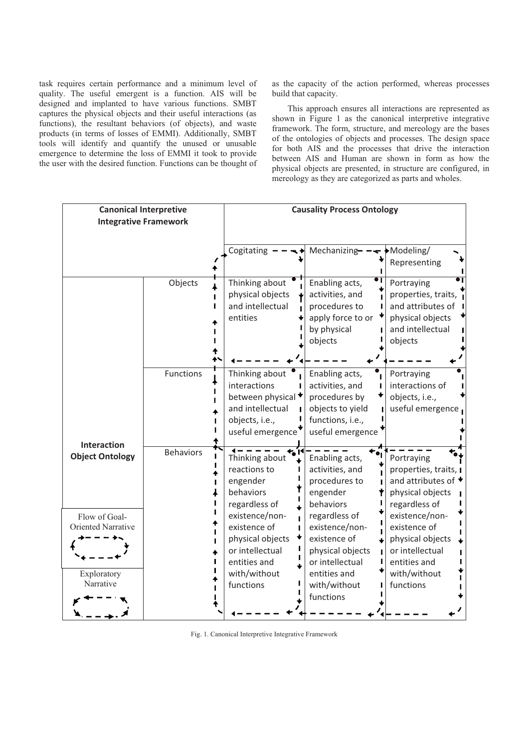task requires certain performance and a minimum level of quality. The useful emergent is a function. AIS will be designed and implanted to have various functions. SMBT captures the physical objects and their useful interactions (as functions), the resultant behaviors (of objects), and waste products (in terms of losses of EMMI). Additionally, SMBT tools will identify and quantify the unused or unusable emergence to determine the loss of EMMI it took to provide the user with the desired function. Functions can be thought of as the capacity of the action performed, whereas processes build that capacity.

This approach ensures all interactions are represented as shown in Figure 1 as the canonical interpretive integrative framework. The form, structure, and mereology are the bases of the ontologies of objects and processes. The design space for both AIS and the processes that drive the interaction between AIS and Human are shown in form as how the physical objects are presented, in structure are configured, in mereology as they are categorized as parts and wholes.

| <b>Canonical Interpretive</b><br><b>Integrative Framework</b>   |                  | <b>Causality Process Ontology</b>                                                                                  |                                                                                                                        |                                                                                                                    |
|-----------------------------------------------------------------|------------------|--------------------------------------------------------------------------------------------------------------------|------------------------------------------------------------------------------------------------------------------------|--------------------------------------------------------------------------------------------------------------------|
|                                                                 |                  | Cogitating                                                                                                         | Mechanizing-                                                                                                           | Modeling/<br>Representing                                                                                          |
|                                                                 | Objects          | Thinking about<br>physical objects<br>and intellectual<br>entities                                                 | Enabling acts,<br>activities, and<br>procedures to<br>apply force to or<br>by physical<br>objects                      | Portraying<br>properties, traits,<br>and attributes of<br>physical objects<br>and intellectual<br>objects          |
|                                                                 | Functions        | Thinking about<br>interactions<br>between physical<br>and intellectual<br>objects, i.e.,                           | Enabling acts,<br>activities, and<br>procedures by<br>objects to yield<br>functions, i.e.,                             | Portraying<br>interactions of<br>objects, i.e.,<br>useful emergence                                                |
| <b>Interaction</b><br><b>Object Ontology</b>                    | <b>Behaviors</b> | useful emergence<br>Thinking about<br>reactions to<br>engender<br>behaviors<br>regardless of                       | useful emergence<br>Enabling acts,<br>activities, and<br>procedures to<br>engender<br>behaviors                        | Portraying<br>properties, traits, I<br>and attributes of $\star$<br>physical objects<br>regardless of              |
| Flow of Goal-<br>Oriented Narrative<br>Exploratory<br>Narrative |                  | existence/non-<br>existence of<br>physical objects<br>or intellectual<br>entities and<br>with/without<br>functions | regardless of<br>existence/non-<br>existence of<br>physical objects<br>or intellectual<br>entities and<br>with/without | existence/non-<br>existence of<br>physical objects<br>or intellectual<br>entities and<br>with/without<br>functions |
|                                                                 |                  |                                                                                                                    | functions                                                                                                              |                                                                                                                    |

Fig. 1. Canonical Interpretive Integrative Framework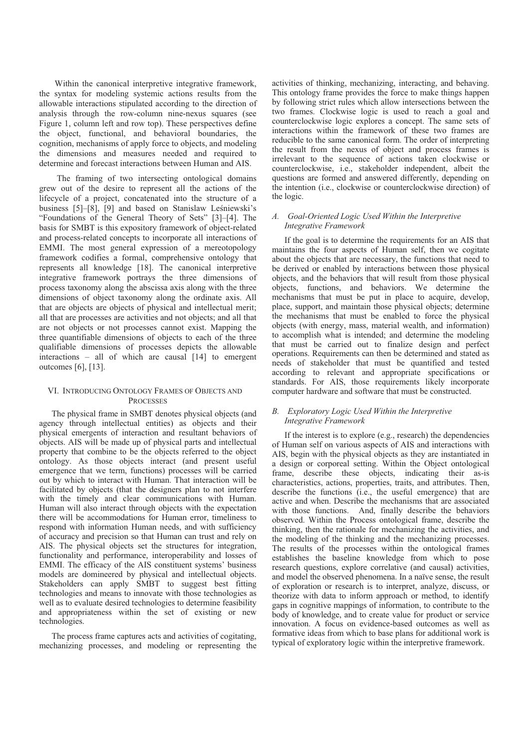Within the canonical interpretive integrative framework, the syntax for modeling systemic actions results from the allowable interactions stipulated according to the direction of analysis through the row-column nine-nexus squares (see Figure 1, column left and row top). These perspectives define the object, functional, and behavioral boundaries, the cognition, mechanisms of apply force to objects, and modeling the dimensions and measures needed and required to determine and forecast interactions between Human and AIS.

The framing of two intersecting ontological domains grew out of the desire to represent all the actions of the lifecycle of a project, concatenated into the structure of a business [5]-[8], [9] and based on Stanislaw Leśniewski's "Foundations of the General Theory of Sets" [3]-[4]. The basis for SMBT is this expository framework of object-related and process-related concepts to incorporate all interactions of EMMI. The most general expression of a mereotopology framework codifies a formal, comprehensive ontology that represents all knowledge [18]. The canonical interpretive integrative framework portrays the three dimensions of process taxonomy along the abscissa axis along with the three dimensions of object taxonomy along the ordinate axis. All that are objects are objects of physical and intellectual merit; all that are processes are activities and not objects; and all that are not objects or not processes cannot exist. Mapping the three quantifiable dimensions of objects to each of the three qualifiable dimensions of processes depicts the allowable interactions – all of which are causal [14] to emergent outcomes [6], [13].

#### VI. INTRODUCING ONTOLOGY FRAMES OF OBJECTS AND **PROCESSES**

The physical frame in SMBT denotes physical objects (and agency through intellectual entities) as objects and their physical emergents of interaction and resultant behaviors of objects. AIS will be made up of physical parts and intellectual property that combine to be the objects referred to the object ontology. As those objects interact (and present useful emergence that we term, functions) processes will be carried out by which to interact with Human. That interaction will be facilitated by objects (that the designers plan to not interfere with the timely and clear communications with Human. Human will also interact through objects with the expectation there will be accommodations for Human error, timeliness to respond with information Human needs, and with sufficiency of accuracy and precision so that Human can trust and rely on AIS. The physical objects set the structures for integration, functionality and performance, interoperability and losses of EMMI. The efficacy of the AIS constituent systems' business models are domineered by physical and intellectual objects. Stakeholders can apply SMBT to suggest best fitting technologies and means to innovate with those technologies as well as to evaluate desired technologies to determine feasibility and appropriateness within the set of existing or new technologies.

The process frame captures acts and activities of cogitating, mechanizing processes, and modeling or representing the activities of thinking, mechanizing, interacting, and behaving. This ontology frame provides the force to make things happen by following strict rules which allow intersections between the two frames. Clockwise logic is used to reach a goal and counterclockwise logic explores a concept. The same sets of interactions within the framework of these two frames are reducible to the same canonical form. The order of interpreting the result from the nexus of object and process frames is irrelevant to the sequence of actions taken clockwise or counterclockwise, i.e., stakeholder independent, albeit the questions are formed and answered differently, depending on the intention (i.e., clockwise or counterclockwise direction) of the logic.

#### A. Goal-Oriented Logic Used Within the Interpretive **Integrative Framework**

If the goal is to determine the requirements for an AIS that maintains the four aspects of Human self, then we cogitate about the objects that are necessary, the functions that need to be derived or enabled by interactions between those physical objects, and the behaviors that will result from those physical objects, functions, and behaviors. We determine the mechanisms that must be put in place to acquire, develop, place, support, and maintain those physical objects; determine the mechanisms that must be enabled to force the physical objects (with energy, mass, material wealth, and information) to accomplish what is intended; and determine the modeling that must be carried out to finalize design and perfect operations. Requirements can then be determined and stated as needs of stakeholder that must be quantified and tested according to relevant and appropriate specifications or standards. For AIS, those requirements likely incorporate computer hardware and software that must be constructed.

#### B. Exploratory Logic Used Within the Interpretive **Integrative Framework**

If the interest is to explore (e.g., research) the dependencies of Human self on various aspects of AIS and interactions with AIS, begin with the physical objects as they are instantiated in a design or corporeal setting. Within the Object ontological frame, describe these objects, indicating their as-is characteristics, actions, properties, traits, and attributes. Then, describe the functions (i.e., the useful emergence) that are active and when. Describe the mechanisms that are associated with those functions. And, finally describe the behaviors observed. Within the Process ontological frame, describe the thinking, then the rationale for mechanizing the activities, and the modeling of the thinking and the mechanizing processes. The results of the processes within the ontological frames establishes the baseline knowledge from which to pose research questions, explore correlative (and causal) activities, and model the observed phenomena. In a naïve sense, the result of exploration or research is to interpret, analyze, discuss, or theorize with data to inform approach or method, to identify gaps in cognitive mappings of information, to contribute to the body of knowledge, and to create value for product or service innovation. A focus on evidence-based outcomes as well as formative ideas from which to base plans for additional work is typical of exploratory logic within the interpretive framework.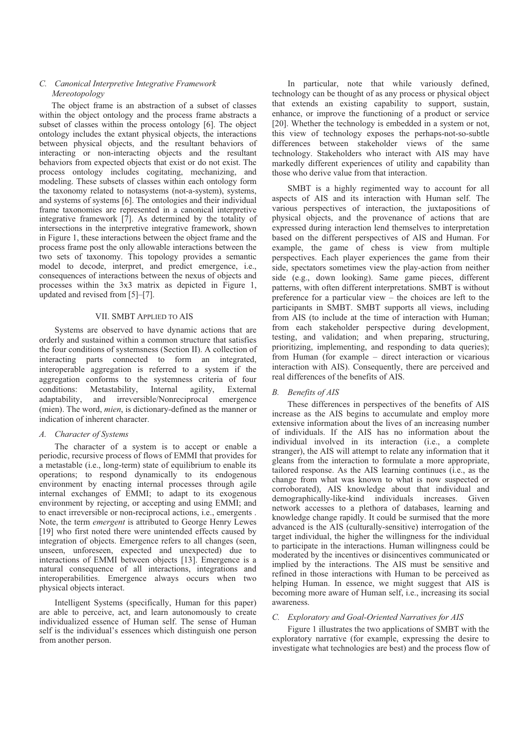#### C. Canonical Interpretive Integrative Framework Mereotopology

The object frame is an abstraction of a subset of classes within the object ontology and the process frame abstracts a subset of classes within the process ontology [6]. The object ontology includes the extant physical objects, the interactions between physical objects, and the resultant behaviors of interacting or non-interacting objects and the resultant behaviors from expected objects that exist or do not exist. The process ontology includes cogitating, mechanizing, and modeling. These subsets of classes within each ontology form the taxonomy related to notasystems (not-a-system), systems, and systems of systems [6]. The ontologies and their individual frame taxonomies are represented in a canonical interpretive integrative framework  $\overline{7}$ . As determined by the totality of intersections in the interpretive integrative framework, shown in Figure 1, these interactions between the object frame and the process frame post the only allowable interactions between the two sets of taxonomy. This topology provides a semantic model to decode, interpret, and predict emergence, i.e., consequences of interactions between the nexus of objects and processes within the 3x3 matrix as depicted in Figure 1, updated and revised from [5]-[7].

#### VII. SMBT APPLIED TO AIS

Systems are observed to have dynamic actions that are orderly and sustained within a common structure that satisfies the four conditions of systemsness (Section II). A collection of interacting parts connected to form an integrated, interoperable aggregation is referred to a system if the aggregation conforms to the systemness criteria of four conditions: Metastability, Internal agility, External adaptability, and irreversible/Nonreciprocal emergence (mien). The word, *mien*, is dictionary-defined as the manner or indication of inherent character.

#### A. Character of Systems

The character of a system is to accept or enable a periodic, recursive process of flows of EMMI that provides for a metastable (i.e., long-term) state of equilibrium to enable its operations; to respond dynamically to its endogenous environment by enacting internal processes through agile internal exchanges of EMMI; to adapt to its exogenous environment by rejecting, or accepting and using EMMI; and to enact irreversible or non-reciprocal actions, *i.e.*, emergents. Note, the term *emergent* is attributed to George Henry Lewes [19] who first noted there were unintended effects caused by integration of objects. Emergence refers to all changes (seen, unseen, unforeseen, expected and unexpected) due to interactions of EMMI between objects [13]. Emergence is a natural consequence of all interactions, integrations and interoperabilities. Emergence always occurs when two physical objects interact.

Intelligent Systems (specifically, Human for this paper) are able to perceive, act, and learn autonomously to create individualized essence of Human self. The sense of Human self is the individual's essences which distinguish one person from another person.

In particular, note that while variously defined, technology can be thought of as any process or physical object that extends an existing capability to support, sustain, enhance, or improve the functioning of a product or service [20]. Whether the technology is embedded in a system or not, this view of technology exposes the perhaps-not-so-subtle differences between stakeholder views of the same technology. Stakeholders who interact with AIS may have markedly different experiences of utility and capability than those who derive value from that interaction.

SMBT is a highly regimented way to account for all aspects of AIS and its interaction with Human self. The various perspectives of interaction, the juxtapositions of physical objects, and the provenance of actions that are expressed during interaction lend themselves to interpretation based on the different perspectives of AIS and Human. For example, the game of chess is view from multiple perspectives. Each player experiences the game from their side, spectators sometimes view the play-action from neither side (e.g., down looking). Same game pieces, different patterns, with often different interpretations. SMBT is without preference for a particular view  $-$  the choices are left to the participants in SMBT. SMBT supports all views, including from AIS (to include at the time of interaction with Human; from each stakeholder perspective during development, testing, and validation; and when preparing, structuring, prioritizing, implementing, and responding to data queries); from Human (for example  $-$  direct interaction or vicarious interaction with AIS). Consequently, there are perceived and real differences of the benefits of AIS.

#### B. Benefits of AIS

These differences in perspectives of the benefits of AIS increase as the AIS begins to accumulate and employ more extensive information about the lives of an increasing number of individuals. If the AIS has no information about the individual involved in its interaction (i.e., a complete stranger), the AIS will attempt to relate any information that it gleans from the interaction to formulate a more appropriate, tailored response. As the AIS learning continues (i.e., as the change from what was known to what is now suspected or corroborated), AIS knowledge about that individual and demographically-like-kind individuals increases. Given network accesses to a plethora of databases, learning and knowledge change rapidly. It could be surmised that the more advanced is the AIS (culturally-sensitive) interrogation of the target individual, the higher the willingness for the individual to participate in the interactions. Human willingness could be moderated by the incentives or disincentives communicated or implied by the interactions. The AIS must be sensitive and refined in those interactions with Human to be perceived as helping Human. In essence, we might suggest that AIS is becoming more aware of Human self, *i.e.*, increasing its social awareness.

#### C. Exploratory and Goal-Oriented Narratives for AIS

Figure 1 illustrates the two applications of SMBT with the exploratory narrative (for example, expressing the desire to investigate what technologies are best) and the process flow of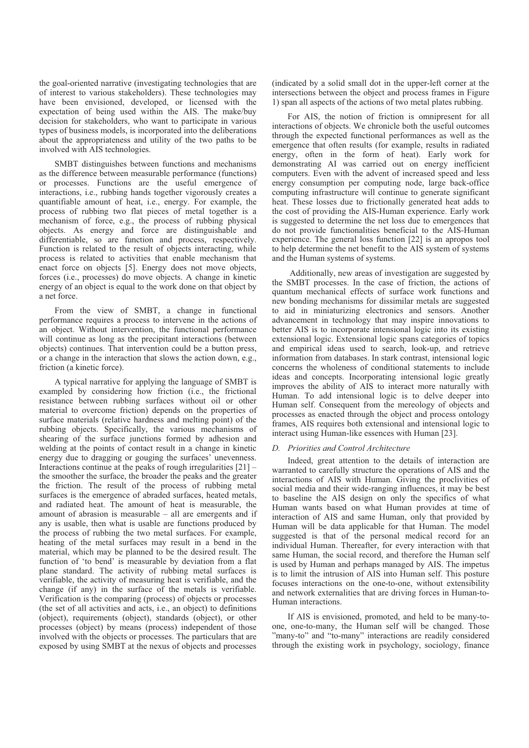the goal-oriented narrative (investigating technologies that are of interest to various stakeholders). These technologies may have been envisioned, developed, or licensed with the expectation of being used within the AIS. The make/buy decision for stakeholders, who want to participate in various types of business models, is incorporated into the deliberations about the appropriateness and utility of the two paths to be involved with AIS technologies.

SMBT distinguishes between functions and mechanisms as the difference between measurable performance (functions) or processes. Functions are the useful emergence of interactions, i.e., rubbing hands together vigorously creates a quantifiable amount of heat, i.e., energy. For example, the process of rubbing two flat pieces of metal together is a mechanism of force, e.g., the process of rubbing physical objects. As energy and force are distinguishable and differentiable, so are function and process, respectively. Function is related to the result of objects interacting, while process is related to activities that enable mechanism that enact force on objects [5]. Energy does not move objects, forces (i.e., processes) do move objects. A change in kinetic energy of an object is equal to the work done on that object by a net force.

From the view of SMBT, a change in functional performance requires a process to intervene in the actions of an object. Without intervention, the functional performance will continue as long as the precipitant interactions (between objects) continues. That intervention could be a button press, or a change in the interaction that slows the action down, e.g., friction (a kinetic force).

A typical narrative for applying the language of SMBT is exampled by considering how friction (i.e., the frictional resistance between rubbing surfaces without oil or other material to overcome friction) depends on the properties of surface materials (relative hardness and melting point) of the rubbing objects. Specifically, the various mechanisms of shearing of the surface junctions formed by adhesion and welding at the points of contact result in a change in kinetic energy due to dragging or gouging the surfaces' unevenness. Interactions continue at the peaks of rough irregularities  $[21]$  – the smoother the surface, the broader the peaks and the greater the friction. The result of the process of rubbing metal surfaces is the emergence of abraded surfaces, heated metals, and radiated heat. The amount of heat is measurable, the amount of abrasion is measurable  $-$  all are emergents and if any is usable, then what is usable are functions produced by the process of rubbing the two metal surfaces. For example, heating of the metal surfaces may result in a bend in the material, which may be planned to be the desired result. The function of 'to bend' is measurable by deviation from a flat plane standard. The activity of rubbing metal surfaces is verifiable, the activity of measuring heat is verifiable, and the change (if any) in the surface of the metals is verifiable. Verification is the comparing (process) of objects or processes (the set of all activities and acts, *i.e.*, an object) to definitions (object), requirements (object), standards (object), or other processes (object) by means (process) independent of those involved with the objects or processes. The particulars that are exposed by using SMBT at the nexus of objects and processes

(indicated by a solid small dot in the upper-left corner at the intersections between the object and process frames in Figure 1) span all aspects of the actions of two metal plates rubbing.

For AIS, the notion of friction is omnipresent for all interactions of objects. We chronicle both the useful outcomes through the expected functional performances as well as the emergence that often results (for example, results in radiated energy, often in the form of heat). Early work for demonstrating AI was carried out on energy inefficient computers. Even with the advent of increased speed and less energy consumption per computing node, large back-office computing infrastructure will continue to generate significant heat. These losses due to frictionally generated heat adds to the cost of providing the AIS-Human experience. Early work is suggested to determine the net loss due to emergences that do not provide functionalities beneficial to the AIS-Human experience. The general loss function [22] is an apropos tool to help determine the net benefit to the AIS system of systems and the Human systems of systems.

Additionally, new areas of investigation are suggested by the SMBT processes. In the case of friction, the actions of quantum mechanical effects of surface work functions and new bonding mechanisms for dissimilar metals are suggested to aid in miniaturizing electronics and sensors. Another advancement in technology that may inspire innovations to better AIS is to incorporate intensional logic into its existing extensional logic. Extensional logic spans categories of topics and empirical ideas used to search, look-up, and retrieve information from databases. In stark contrast, intensional logic concerns the wholeness of conditional statements to include ideas and concepts. Incorporating intensional logic greatly improves the ability of AIS to interact more naturally with Human. To add intensional logic is to delve deeper into Human self. Consequent from the mereology of objects and processes as enacted through the object and process ontology frames. AIS requires both extensional and intensional logic to interact using Human-like essences with Human [23].

#### D. Priorities and Control Architecture

Indeed, great attention to the details of interaction are warranted to carefully structure the operations of AIS and the interactions of AIS with Human. Giving the proclivities of social media and their wide-ranging influences, it may be best to baseline the AIS design on only the specifics of what Human wants based on what Human provides at time of interaction of AIS and same Human, only that provided by Human will be data applicable for that Human. The model suggested is that of the personal medical record for an individual Human. Thereafter, for every interaction with that same Human, the social record, and therefore the Human self is used by Human and perhaps managed by AIS. The impetus is to limit the intrusion of AIS into Human self. This posture focuses interactions on the one-to-one, without extensibility and network externalities that are driving forces in Human-to-Human interactions

If AIS is envisioned, promoted, and held to be many-toone, one-to-many, the Human self will be changed. Those "many-to" and "to-many" interactions are readily considered through the existing work in psychology, sociology, finance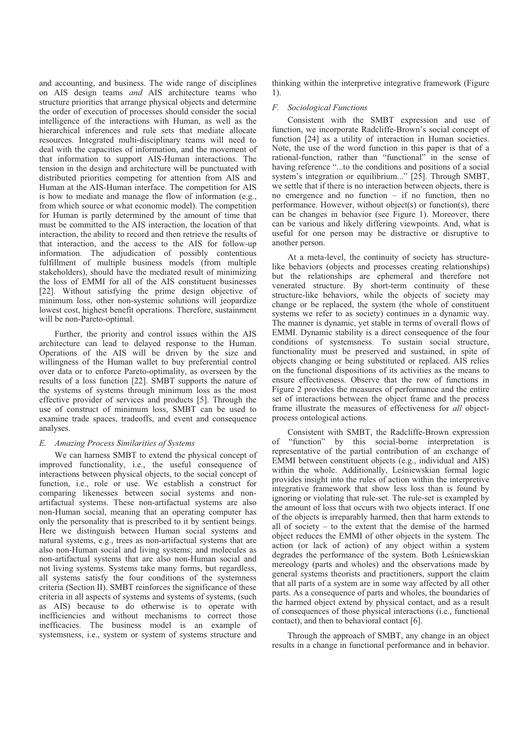and accounting, and business. The wide range of disciplines on AIS design teams and AIS architecture teams who structure priorities that arrange physical objects and determine the order of execution of processes should consider the social intelligence of the interactions with Human, as well as the hierarchical inferences and rule sets that mediate allocate resources. Integrated multi-disciplinary teams will need to deal with the capacities of information, and the movement of that information to support AIS-Human interactions. The tension in the design and architecture will be punctuated with distributed priorities competing for attention from AIS and Human at the AIS-Human interface. The competition for AIS is how to mediate and manage the flow of information (e.g., from which source or what economic model). The competition for Human is partly determined by the amount of time that must be committed to the AIS interaction, the location of that interaction, the ability to record and then retrieve the results of that interaction, and the access to the AIS for follow-up information. The adjudication of possibly contentious fulfillment of multiple business models (from multiple stakeholders), should have the mediated result of minimizing the loss of EMMI for all of the AIS constituent businesses [22]. Without satisfying the prime design objective of minimum loss, other non-systemic solutions will jeopardize lowest cost, highest benefit operations. Therefore, sustainment will be non-Pareto-optimal.

Further, the priority and control issues within the AIS architecture can lead to delayed response to the Human. Operations of the AIS will be driven by the size and willingness of the Human wallet to buy preferential control over data or to enforce Pareto-optimality, as overseen by the results of a loss function [22]. SMBT supports the nature of the systems of systems through minimum loss as the most effective provider of services and products [5]. Through the use of construct of minimum loss, SMBT can be used to examine trade spaces, tradeoffs, and event and consequence analyses.

#### E. Amazing Process Similarities of Systems

We can harness SMBT to extend the physical concept of improved functionality, i.e., the useful consequence of interactions between physical objects, to the social concept of function, i.e., role or use. We establish a construct for comparing likenesses between social systems and nonartifactual systems. These non-artifactual systems are also non-Human social, meaning that an operating computer has only the personality that is prescribed to it by sentient beings. Here we distinguish between Human social systems and natural systems, e.g., trees as non-artifactual systems that are also non-Human social and living systems; and molecules as non-artifactual systems that are also non-Human social and not living systems. Systems take many forms, but regardless, all systems satisfy the four conditions of the systemness criteria (Section II). SMBT reinforces the significance of these criteria in all aspects of systems and systems of systems, (such as AIS) because to do otherwise is to operate with inefficiencies and without mechanisms to correct those inefficacies. The business model is an example of systemsness, i.e., system or system of systems structure and

thinking within the interpretive integrative framework (Figure 1).

#### F. Sociological Functions

Consistent with the SMBT expression and use of function, we incorporate Radcliffe-Brown's social concept of function [24] as a utility of interaction in Human societies. Note, the use of the word function in this paper is that of a rational-function, rather than "functional" in the sense of having reference "...to the conditions and positions of a social system's integration or equilibrium..." [25]. Through SMBT, we settle that if there is no interaction between objects, there is no emergence and no function  $-$  if no function, then no performance. However, without object(s) or function(s), there can be changes in behavior (see Figure 1). Moreover, there can be various and likely differing viewpoints. And, what is useful for one person may be distractive or disruptive to another person.

At a meta-level, the continuity of society has structurelike behaviors (objects and processes creating relationships) but the relationships are ephemeral and therefore not venerated structure. By short-term continuity of these structure-like behaviors, while the objects of society may change or be replaced, the system (the whole of constituent systems we refer to as society) continues in a dynamic way. The manner is dynamic, yet stable in terms of overall flows of EMMI. Dynamic stability is a direct consequence of the four conditions of systemsness. To sustain social structure, functionality must be preserved and sustained, in spite of objects changing or being substituted or replaced. AIS relies on the functional dispositions of its activities as the means to ensure effectiveness. Observe that the row of functions in Figure 2 provides the measures of performance and the entire set of interactions between the object frame and the process frame illustrate the measures of effectiveness for all objectprocess ontological actions.

Consistent with SMBT, the Radcliffe-Brown expression "function" by this social-borne interpretation is  $\alpha$ f representative of the partial contribution of an exchange of EMMI between constituent objects (e.g., individual and AIS) within the whole. Additionally, Leśniewskian formal logic provides insight into the rules of action within the interpretive integrative framework that show less loss than is found by ignoring or violating that rule-set. The rule-set is exampled by the amount of loss that occurs with two objects interact. If one of the objects is irreparably harmed, then that harm extends to all of society  $-$  to the extent that the demise of the harmed object reduces the EMMI of other objects in the system. The action (or lack of action) of any object within a system degrades the performance of the system. Both Leśniewskian mereology (parts and wholes) and the observations made by general systems theorists and practitioners, support the claim that all parts of a system are in some way affected by all other parts. As a consequence of parts and wholes, the boundaries of the harmed object extend by physical contact, and as a result of consequences of those physical interactions (i.e., functional contact), and then to behavioral contact [6].

Through the approach of SMBT, any change in an object results in a change in functional performance and in behavior.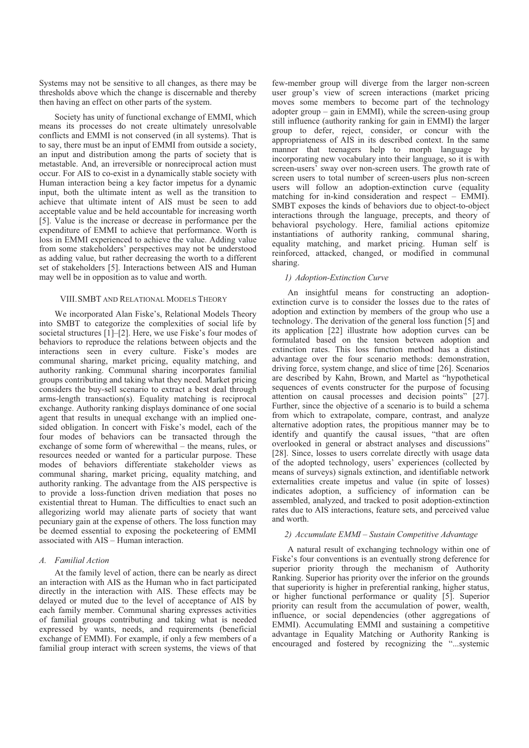Systems may not be sensitive to all changes, as there may be thresholds above which the change is discernable and thereby then having an effect on other parts of the system.

Society has unity of functional exchange of EMMI, which means its processes do not create ultimately unresolvable conflicts and EMMI is not conserved (in all systems). That is to say, there must be an input of EMMI from outside a society, an input and distribution among the parts of society that is metastable. And, an irreversible or nonreciprocal action must occur. For AIS to co-exist in a dynamically stable society with Human interaction being a key factor impetus for a dynamic input, both the ultimate intent as well as the transition to achieve that ultimate intent of AIS must be seen to add acceptable value and be held accountable for increasing worth [5]. Value is the increase or decrease in performance per the expenditure of EMMI to achieve that performance. Worth is loss in EMMI experienced to achieve the value. Adding value from some stakeholders' perspectives may not be understood as adding value, but rather decreasing the worth to a different set of stakeholders [5]. Interactions between AIS and Human may well be in opposition as to value and worth.

#### VIII. SMBT AND RELATIONAL MODELS THEORY

We incorporated Alan Fiske's, Relational Models Theory into SMBT to categorize the complexities of social life by societal structures [1]-[2]. Here, we use Fiske's four modes of behaviors to reproduce the relations between objects and the interactions seen in every culture. Fiske's modes are communal sharing, market pricing, equality matching, and authority ranking. Communal sharing incorporates familial groups contributing and taking what they need. Market pricing considers the buy-sell scenario to extract a best deal through arms-length transaction(s). Equality matching is reciprocal exchange. Authority ranking displays dominance of one social agent that results in unequal exchange with an implied onesided obligation. In concert with Fiske's model, each of the four modes of behaviors can be transacted through the exchange of some form of wherewithal – the means, rules, or resources needed or wanted for a particular purpose. These modes of behaviors differentiate stakeholder views as communal sharing, market pricing, equality matching, and authority ranking. The advantage from the AIS perspective is to provide a loss-function driven mediation that poses no existential threat to Human. The difficulties to enact such an allegorizing world may alienate parts of society that want pecuniary gain at the expense of others. The loss function may be deemed essential to exposing the pocketeering of EMMI associated with AIS – Human interaction.

#### A Familial Action

At the family level of action, there can be nearly as direct an interaction with AIS as the Human who in fact participated directly in the interaction with AIS. These effects may be delayed or muted due to the level of acceptance of AIS by each family member. Communal sharing expresses activities of familial groups contributing and taking what is needed expressed by wants, needs, and requirements (beneficial exchange of EMMI). For example, if only a few members of a familial group interact with screen systems, the views of that

few-member group will diverge from the larger non-screen user group's view of screen interactions (market pricing moves some members to become part of the technology adopter group  $-$  gain in EMMI), while the screen-using group still influence (authority ranking for gain in EMMI) the larger group to defer, reject, consider, or concur with the appropriateness of AIS in its described context. In the same manner that teenagers help to morph language by incorporating new vocabulary into their language, so it is with screen-users' sway over non-screen users. The growth rate of screen users to total number of screen-users plus non-screen users will follow an adoption-extinction curve (equality matching for in-kind consideration and respect  $-$  EMMI). SMBT exposes the kinds of behaviors due to object-to-object interactions through the language, precepts, and theory of behavioral psychology. Here, familial actions epitomize instantiations of authority ranking, communal sharing, equality matching, and market pricing. Human self is reinforced, attacked, changed, or modified in communal sharing.

#### 1) Adoption-Extinction Curve

An insightful means for constructing an adoptionextinction curve is to consider the losses due to the rates of adoption and extinction by members of the group who use a technology. The derivation of the general loss function [5] and its application [22] illustrate how adoption curves can be formulated based on the tension between adoption and extinction rates. This loss function method has a distinct advantage over the four scenario methods: demonstration, driving force, system change, and slice of time [26]. Scenarios are described by Kahn, Brown, and Martel as "hypothetical sequences of events constructer for the purpose of focusing attention on causal processes and decision points" [27]. Further, since the objective of a scenario is to build a schema from which to extrapolate, compare, contrast, and analyze alternative adoption rates, the propitious manner may be to identify and quantify the causal issues, "that are often overlooked in general or abstract analyses and discussions" [28]. Since, losses to users correlate directly with usage data of the adopted technology, users' experiences (collected by means of surveys) signals extinction, and identifiable network externalities create impetus and value (in spite of losses) indicates adoption, a sufficiency of information can be assembled, analyzed, and tracked to posit adoption-extinction rates due to AIS interactions, feature sets, and perceived value and worth.

#### 2) Accumulate EMMI - Sustain Competitive Advantage

A natural result of exchanging technology within one of Fiske's four conventions is an eventually strong deference for superior priority through the mechanism of Authority Ranking. Superior has priority over the inferior on the grounds that superiority is higher in preferential ranking, higher status, or higher functional performance or quality [5]. Superior priority can result from the accumulation of power, wealth, influence, or social dependencies (other aggregations of EMMI). Accumulating EMMI and sustaining a competitive advantage in Equality Matching or Authority Ranking is encouraged and fostered by recognizing the "...systemic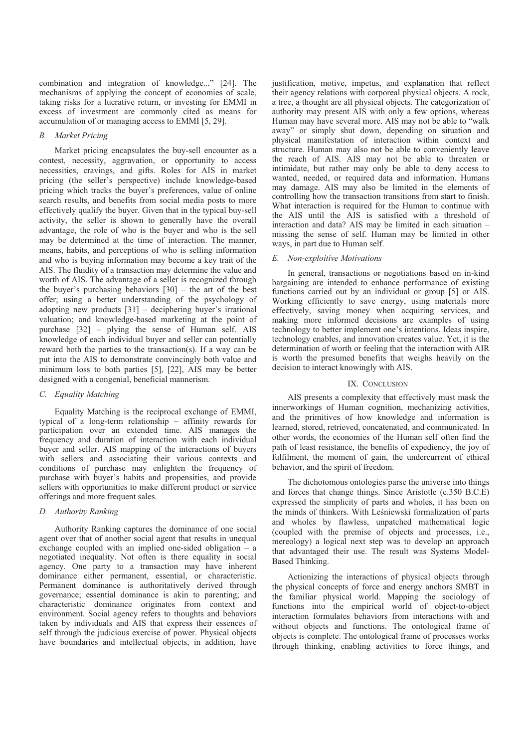combination and integration of knowledge..." [24]. The mechanisms of applying the concept of economies of scale, taking risks for a lucrative return, or investing for EMMI in excess of investment are commonly cited as means for accumulation of or managing access to EMMI [5, 29].

#### **B.** Market Pricing

Market pricing encapsulates the buy-sell encounter as a contest, necessity, aggravation, or opportunity to access necessities, cravings, and gifts. Roles for AIS in market pricing (the seller's perspective) include knowledge-based pricing which tracks the buver's preferences, value of online search results, and benefits from social media posts to more effectively qualify the buyer. Given that in the typical buy-sell activity, the seller is shown to generally have the overall advantage, the role of who is the buyer and who is the sell may be determined at the time of interaction. The manner, means, habits, and perceptions of who is selling information and who is buying information may become a key trait of the AIS. The fluidity of a transaction may determine the value and worth of AIS. The advantage of a seller is recognized through the buyer's purchasing behaviors  $[30]$  – the art of the best offer: using a better understanding of the psychology of adopting new products  $[31]$  – deciphering buyer's irrational valuation; and knowledge-based marketing at the point of purchase  $[32]$  – plying the sense of Human self. AIS knowledge of each individual buyer and seller can potentially reward both the parties to the transaction(s). If a way can be put into the AIS to demonstrate convincingly both value and minimum loss to both parties [5], [22], AIS may be better designed with a congenial, beneficial mannerism.

#### C. Equality Matching

Equality Matching is the reciprocal exchange of EMMI, typical of a long-term relationship  $-$  affinity rewards for participation over an extended time. AIS manages the frequency and duration of interaction with each individual buyer and seller. AIS mapping of the interactions of buyers with sellers and associating their various contexts and conditions of purchase may enlighten the frequency of purchase with buyer's habits and propensities, and provide sellers with opportunities to make different product or service offerings and more frequent sales.

#### D. Authority Ranking

Authority Ranking captures the dominance of one social agent over that of another social agent that results in unequal exchange coupled with an implied one-sided obligation  $-$  a negotiated inequality. Not often is there equality in social agency. One party to a transaction may have inherent dominance either permanent, essential, or characteristic. Permanent dominance is authoritatively derived through governance; essential dominance is akin to parenting; and characteristic dominance originates from context and environment. Social agency refers to thoughts and behaviors taken by individuals and AIS that express their essences of self through the judicious exercise of power. Physical objects have boundaries and intellectual objects, in addition, have

justification, motive, impetus, and explanation that reflect their agency relations with corporeal physical objects. A rock, a tree, a thought are all physical objects. The categorization of authority may present AIS with only a few options, whereas Human may have several more. AIS may not be able to "walk away" or simply shut down, depending on situation and physical manifestation of interaction within context and structure. Human may also not be able to conveniently leave the reach of AIS. AIS may not be able to threaten or intimidate, but rather may only be able to deny access to wanted, needed, or required data and information. Humans may damage. AIS may also be limited in the elements of controlling how the transaction transitions from start to finish. What interaction is required for the Human to continue with the AIS until the AIS is satisfied with a threshold of interaction and data? AIS may be limited in each situation missing the sense of self. Human may be limited in other ways, in part due to Human self.

#### E. Non-exploitive Motivations

In general, transactions or negotiations based on in-kind bargaining are intended to enhance performance of existing functions carried out by an individual or group [5] or AIS. Working efficiently to save energy, using materials more effectively, saving money when acquiring services, and making more informed decisions are examples of using technology to better implement one's intentions. Ideas inspire, technology enables, and innovation creates value. Yet, it is the determination of worth or feeling that the interaction with AIR is worth the presumed benefits that weighs heavily on the decision to interact knowingly with AIS.

#### IX. CONCLUSION

AIS presents a complexity that effectively must mask the innerworkings of Human cognition, mechanizing activities, and the primitives of how knowledge and information is learned, stored, retrieved, concatenated, and communicated. In other words, the economies of the Human self often find the path of least resistance, the benefits of expediency, the joy of fulfilment, the moment of gain, the undercurrent of ethical behavior, and the spirit of freedom.

The dichotomous ontologies parse the universe into things and forces that change things. Since Aristotle (c.350 B.C.E) expressed the simplicity of parts and wholes, it has been on the minds of thinkers. With Leśniewski formalization of parts and wholes by flawless, unpatched mathematical logic (coupled with the premise of objects and processes, i.e., mereology) a logical next step was to develop an approach that advantaged their use. The result was Systems Model-Based Thinking.

Actionizing the interactions of physical objects through the physical concepts of force and energy anchors SMBT in the familiar physical world. Mapping the sociology of functions into the empirical world of object-to-object interaction formulates behaviors from interactions with and without objects and functions. The ontological frame of objects is complete. The ontological frame of processes works through thinking, enabling activities to force things, and